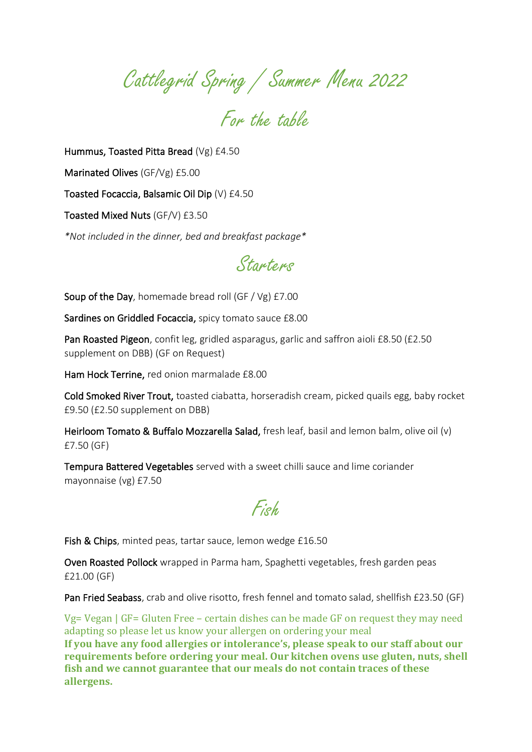Cattlegrid Spring / Summer Menu 2022

For the table

Hummus, Toasted Pitta Bread (Vg) £4.50

Marinated Olives (GF/Vg) £5.00

Toasted Focaccia, Balsamic Oil Dip (V) £4.50

Toasted Mixed Nuts (GF/V) £3.50

*\*Not included in the dinner, bed and breakfast package\**



Soup of the Day, homemade bread roll (GF / Vg) £7.00

Sardines on Griddled Focaccia, spicy tomato sauce £8.00

Pan Roasted Pigeon, confit leg, gridled asparagus, garlic and saffron aioli £8.50 (£2.50 supplement on DBB) (GF on Request)

Ham Hock Terrine, red onion marmalade £8.00

Cold Smoked River Trout, toasted ciabatta, horseradish cream, picked quails egg, baby rocket £9.50 (£2.50 supplement on DBB)

Heirloom Tomato & Buffalo Mozzarella Salad, fresh leaf, basil and lemon balm, olive oil (v) £7.50 (GF)

Tempura Battered Vegetables served with a sweet chilli sauce and lime coriander mayonnaise (vg) £7.50

Fish

Fish & Chips, minted peas, tartar sauce, lemon wedge £16.50

Oven Roasted Pollock wrapped in Parma ham, Spaghetti vegetables, fresh garden peas £21.00 (GF)

Pan Fried Seabass, crab and olive risotto, fresh fennel and tomato salad, shellfish £23.50 (GF)

Vg= Vegan | GF= Gluten Free – certain dishes can be made GF on request they may need adapting so please let us know your allergen on ordering your meal **If you have any food allergies or intolerance's, please speak to our staff about our requirements before ordering your meal. Our kitchen ovens use gluten, nuts, shell fish and we cannot guarantee that our meals do not contain traces of these allergens.**